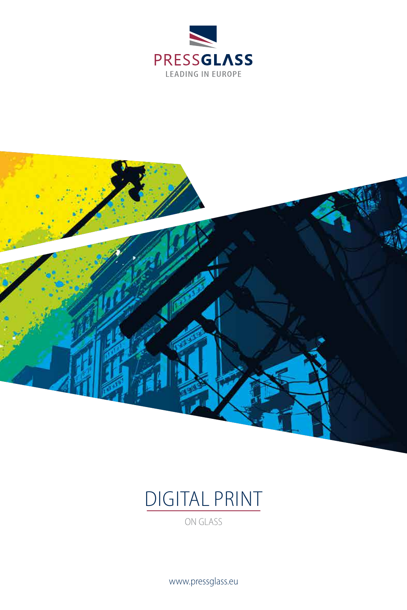





www.pressglass.eu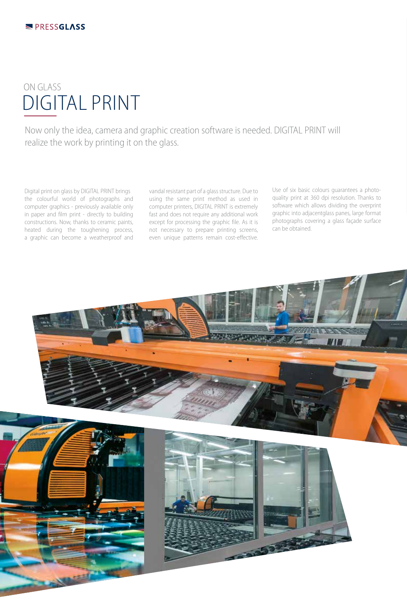## DIGITAL PRINT ON GLASS

Now only the idea, camera and graphic creation software is needed. DIGITAL PRINT will realize the work by printing it on the glass.

Digital print on glass by DIGITAL PRINT brings the colourful world of photographs and computer graphics - previously available only in paper and film print - directly to building constructions. Now, thanks to ceramic paints, heated during the toughening process, a graphic can become a weatherproof and vandal resistant part of a glass structure. Due to using the same print method as used in computer printers, DIGITAL PRINT is extremely fast and does not require any additional work except for processing the graphic file. As it is not necessary to prepare printing screens, even unique patterns remain cost-effective.

Use of six basic colours guarantees a photoquality print at 360 dpi resolution. Thanks to software which allows dividing the overprint graphic into adjacentglass panes, large format photographs covering a glass façade surface can be obtained.

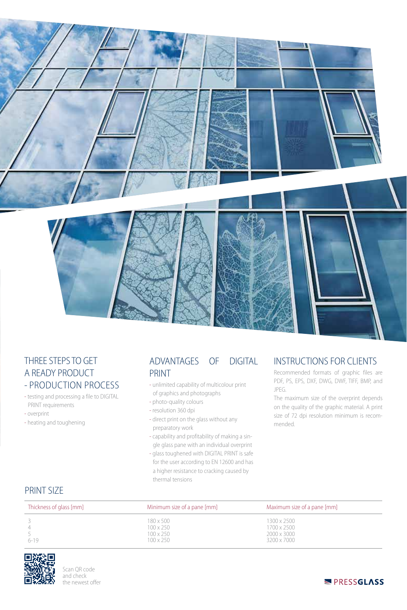

## THREE STEPS TO GET A READY PRODUCT - PRODUCTION PROCESS

- testing and processing a file to DIGITAL PRINT requirements
- overprint
- heating and toughening

## ADVANTAGES OF DIGITAL PRINT

- unlimited capability of multicolour print of graphics and photographs
- photo-quality colours
- resolution 360 dpi
- direct print on the glass without any preparatory work
- capability and profitability of making a sin gle glass pane with an individual overprint
- glass toughened with DIGITAL PRINT is safe for the user according to EN 12600 and has a higher resistance to cracking caused by thermal tensions

## INSTRUCTIONS FOR CLIENTS

Recommended formats of graphic files are PDF, PS, EPS, DXF, DWG, DWF, TIFF, BMP, and JPEG.

The maximum size of the overprint depends on the quality of the graphic material. A print size of 72 dpi resolution minimum is recommended.

| <b>PRINT SIZE</b> |  |  |  |  |
|-------------------|--|--|--|--|
|-------------------|--|--|--|--|

| Thickness of glass [mm] | Minimum size of a pane [mm]                                                  | Maximum size of a pane [mm]                              |
|-------------------------|------------------------------------------------------------------------------|----------------------------------------------------------|
| $\overline{4}$<br>6-19  | $180 \times 500$<br>$100 \times 250$<br>$100 \times 250$<br>$100 \times 250$ | 1300 x 2500<br>1700 x 2500<br>2000 x 3000<br>3200 x 7000 |